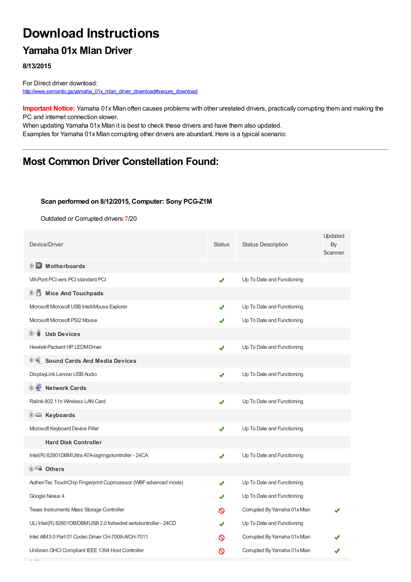# **Download Instructions**

## **Yamaha 01x Mlan Driver**

**8/13/2015**

For Direct driver download: [http://www.semantic.gs/yamaha\\_01x\\_mlan\\_driver\\_download#secure\\_download](http://www.semantic.gs/yamaha_01x_mlan_driver_download#secure_download)

**Important Notice:** Yamaha 01x Mlan often causes problems with other unrelated drivers, practically corrupting them and making the PC and internet connection slower.

When updating Yamaha 01x Mlan it is best to check these drivers and have them also updated. Examples for Yamaha 01x Mlan corrupting other drivers are abundant. Here is a typical scenario:

## **Most Common Driver Constellation Found:**

#### **Scan performed on 8/12/2015, Computer: Sony PCG-Z1M**

Outdated or Corrupted drivers:7/20

| Device/Driver                                                     | <b>Status</b> | <b>Status Description</b>   | Updated<br>By<br>Scanner |
|-------------------------------------------------------------------|---------------|-----------------------------|--------------------------|
| <b>E</b> Motherboards                                             |               |                             |                          |
| <b>VIA Pont PCI vers PCI standard PCI</b>                         | ✔             | Up To Date and Functioning  |                          |
| <b>Mice And Touchpads</b><br>甲基                                   |               |                             |                          |
| Microsoft Microsoft USB IntelliMouse Explorer                     |               | Up To Date and Functioning  |                          |
| Microsoft Microsoft PS/2 Mouse                                    |               | Up To Date and Functioning  |                          |
| <b>Usb Devices</b><br>E- 6                                        |               |                             |                          |
| Hewlett-Packard HP LEDM Driver                                    | J             | Up To Date and Functioning  |                          |
| <b>Sound Cards And Media Devices</b>                              |               |                             |                          |
| DisplayLink Lenovo USB Audio                                      | ✔             | Up To Date and Functioning  |                          |
| <b>D</b> Network Cards                                            |               |                             |                          |
| Ralink 802.11n Wireless LAN Card                                  | ✔             | Up To Date and Functioning  |                          |
| E Keyboards                                                       |               |                             |                          |
| Mcrosoft Keyboard Device Filter                                   | ✔             | Up To Date and Functioning  |                          |
| <b>Hard Disk Controller</b>                                       |               |                             |                          |
| Intel(R) 82801DBM Ultra ATA-lagringskontroller - 24CA             | ✔             | Up To Date and Functioning  |                          |
| <b>E</b> Others                                                   |               |                             |                          |
| AuthenTec TouchChip Fingerprint Coprocessor (WBF advanced mode)   |               | Up To Date and Functioning  |                          |
| Google Nexus 4                                                    |               | Up To Date and Functioning  |                          |
| Texas Instruments Mass Storage Controller                         | ര             | Corrupted By Yamaha 01x Man |                          |
| ULi Intel(R) 82801DB/DBM USB 2.0 forbedret vertskontroller - 24CD |               | Up To Date and Functioning  |                          |
| Intel AIM 3.0 Part 01 Codec Driver CH-7009-A/CH-7011              | လ             | Corrupted By Yamaha 01x Man |                          |
| Unibrain OHCI Compliant IEEE 1394 Host Controller                 | ∾             | Corrupted By Yamaha 01x Man |                          |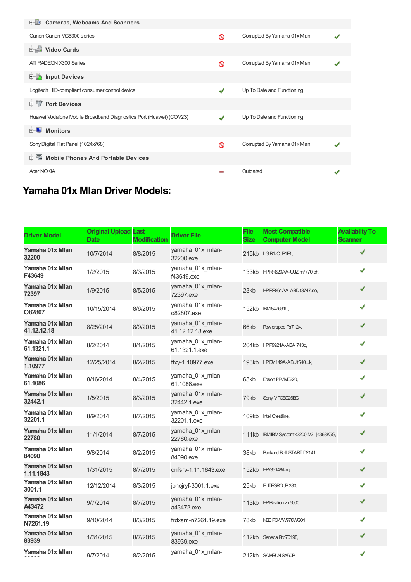| <b>E-LO</b> Cameras, Webcams And Scanners                          |   |                             |  |
|--------------------------------------------------------------------|---|-----------------------------|--|
| Canon Canon MG5300 series                                          | ∾ | Corrupted By Yamaha 01x Man |  |
| <b>Dideo Cards</b>                                                 |   |                             |  |
| ATI RADEON X300 Series                                             | ∾ | Corrupted By Yamaha 01x Man |  |
| <b>E</b> Input Devices                                             |   |                             |  |
| Logitech HID-compliant consumer control device                     | ✔ | Up To Date and Functioning  |  |
| <b>E-1</b> Port Devices                                            |   |                             |  |
| Huawei Vodafone Mobile Broadband Diagnostics Port (Huawei) (COM23) |   | Up To Date and Functioning  |  |
| <b>E</b> Monitors                                                  |   |                             |  |
| Sony Digital Flat Panel (1024x768)                                 | ര | Corrupted By Yamaha 01x Man |  |
| <b>E-5</b> Mobile Phones And Portable Devices                      |   |                             |  |
| <b>Acer NOKIA</b>                                                  |   | Outdated                    |  |

## **Yamaha 01x Mlan Driver Models:**

| <b>Driver Model</b>            | <b>Original Upload</b><br><b>Date</b> | Last<br><b>Modification</b> | <b>Driver File</b>                  | <b>File</b><br><b>Size</b> | <b>Most Compatible</b><br><b>Computer Model</b> | <b>Availabilty To</b><br><b>Scanner</b> |
|--------------------------------|---------------------------------------|-----------------------------|-------------------------------------|----------------------------|-------------------------------------------------|-----------------------------------------|
| Yamaha 01x Mlan<br>32200       | 10/7/2014                             | 8/8/2015                    | yamaha_01x_mlan-<br>32200.exe       |                            | 215kb LGR1-CUPIE1,                              | ✔                                       |
| Yamaha 01x Mlan<br>F43649      | 1/2/2015                              | 8/3/2015                    | yamaha_01x_mlan-<br>f43649.exe      |                            | 133kb HPRR820AA-UUZ m7770.ch,                   | ✔                                       |
| Yamaha 01x Mlan<br>72397       | 1/9/2015                              | 8/5/2015                    | yamaha_01x_mlan-<br>72397.exe       | 23kb                       | HP RR861AA-ABD t3747.de,                        | ✔                                       |
| Yamaha 01x Mlan<br>O82807      | 10/15/2014                            | 8/6/2015                    | yamaha_01x_mlan-<br>o82807.exe      | 152kb                      | <b>IBM847691U,</b>                              | ✔                                       |
| Yamaha 01x Mlan<br>41.12.12.18 | 8/25/2014                             | 8/9/2015                    | yamaha_01x_mlan-<br>41.12.12.18.exe | 66kb                       | Powerspec Ps7124,                               | ✔                                       |
| Yamaha 01x Mlan<br>61.1321.1   | 8/2/2014                              | 8/1/2015                    | yamaha_01x_mlan-<br>61.1321.1.exe   |                            | 204kb HPP9921A-ABA 743c,                        | ✔                                       |
| Yamaha 01x Mlan<br>1.10977     | 12/25/2014                            | 8/2/2015                    | ftxy-1.10977.exe                    |                            | 193kb HPDY149A-ABUt540.uk,                      | ✔                                       |
| Yamaha 01x Mlan<br>61.1086     | 8/16/2014                             | 8/4/2015                    | yamaha_01x_mlan-<br>61.1086.exe     | 63kb                       | Epson PPVME220,                                 | ✔                                       |
| Yamaha 01x Mlan<br>32442.1     | 1/5/2015                              | 8/3/2015                    | yamaha_01x_mlan-<br>32442.1.exe     | 79kb                       | Sony VPCEG26EG,                                 | ✔                                       |
| Yamaha 01x Mlan<br>32201.1     | 8/9/2014                              | 8/7/2015                    | yamaha_01x_mlan-<br>32201.1.exe     |                            | 109kb Intel Crestline,                          | ✔                                       |
| Yamaha 01x Mlan<br>22780       | 11/1/2014                             | 8/7/2015                    | yamaha 01x mlan-<br>22780.exe       |                            | 111kb IBMIBMSystemx3200 M2-[4368K5G,            | ✔                                       |
| Yamaha 01x Mlan<br>84090       | 9/8/2014                              | 8/2/2015                    | yamaha_01x_mlan-<br>84090.exe       | 38kb                       | Packard Bell ISTART D2141,                      | ✔                                       |
| Yamaha 01x Mlan<br>1.11.1843   | 1/31/2015                             | 8/7/2015                    | cnfsrv-1.11.1843.exe                |                            | 152kb HPG5148it-m                               | ✔                                       |
| Yamaha 01x Mlan<br>3001.1      | 12/12/2014                            | 8/3/2015                    | jphojryf-3001.1.exe                 | 25kb                       | ELITEGROUP 330,                                 | ✔                                       |
| Yamaha 01x Mlan<br>A43472      | 9/7/2014                              | 8/7/2015                    | yamaha 01x mlan-<br>a43472.exe      |                            | 113kb HP Pavilion zx5000,                       | ✔                                       |
| Yamaha 01x Mlan<br>N7261.19    | 9/10/2014                             | 8/3/2015                    | frdxsm-n7261.19.exe                 | 78kb                       | NEC PC-VW978WG01,                               | ✔                                       |
| Yamaha 01x Mlan<br>83939       | 1/31/2015                             | 8/7/2015                    | yamaha_01x_mlan-<br>83939.exe       |                            | 112kb Seneca Pro70198,                          | ✔                                       |
| Yamaha 01x Mlan                | 9/7/2014                              | 8/2/2015                    | yamaha_01x_mlan-                    |                            | 212kh SAMSLIN SX60P                             | ✔                                       |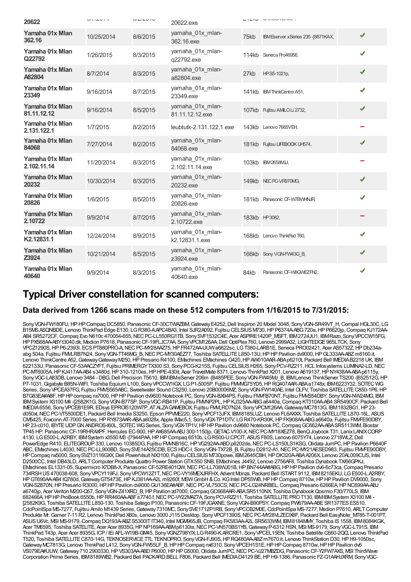| 20622                          | V11LV1T    | $U1 - L1 - U1$ | 20622.exe                           |               | <b>UV WAY AT ALL AND THE</b>       |   |
|--------------------------------|------------|----------------|-------------------------------------|---------------|------------------------------------|---|
| Yamaha 01x Mlan<br>362.16      | 10/25/2014 | 8/6/2015       | yamaha 01x mlan-<br>362.16.exe      | 75kb          | IBM Eserver x Series 235-[8671KAX, | ✔ |
| Yamaha 01x Mlan<br>Q22792      | 1/26/2015  | 8/3/2015       | yamaha_01x_mlan-<br>q22792.exe      |               | 114kb Seneca Pro46956,             | ✔ |
| Yamaha 01x Mlan<br>A82804      | 8/7/2014   | 8/3/2015       | yamaha 01x mlan-<br>a82804.exe      | 27kb          | HPS5-1021p,                        | ✔ |
| Yamaha 01x Mlan<br>23349       | 9/16/2014  | 8/7/2015       | yamaha_01x_mlan-<br>23349.exe       |               | 141kb IBM ThinkCentre A51,         | ✔ |
| Yamaha 01x Mlan<br>81.11.12.12 | 9/16/2014  | 8/5/2015       | yamaha_01x_mlan-<br>81.11.12.12.exe |               | 107kb Fujitsu AMLO Li 2732,        | ✔ |
| Yamaha 01x Mlan<br>2.131.122.1 | 1/7/2015   | 8/2/2015       | leubtutk-2.131.122.1.exe            |               | 143kb Lenovo 7665VEH               |   |
| Yamaha 01x Mlan<br>84068       | 7/27/2014  | 8/2/2015       | yamaha 01x mlan-<br>84068.exe       |               | 181kb Fujitsu LIFEBOOK UH574,      | ✔ |
| Yamaha 01x Mlan<br>2.102.11.14 | 11/20/2014 | 8/3/2015       | yamaha_01x_mlan-<br>2.102.11.14.exe |               | 103kb IBM2658MJJ,                  |   |
| Yamaha 01x Mlan<br>20232       | 10/30/2014 | 8/3/2015       | yamaha_01x_mlan-<br>20232.exe       |               | 149kb NEC PC-VR970MG,              | ✔ |
| Yamaha 01x Mlan<br>20826       | 1/6/2015   | 8/5/2015       | yamaha_01x_mlan-<br>20826.exe       |               | 181kb Panasonic CF-W7BWHNR         | ✔ |
| Yamaha 01x Mlan<br>2.10722     | 9/9/2014   | 8/7/2015       | yamaha 01x mlan-<br>2.10722.exe     | 183kb HP3082, |                                    |   |
| Yamaha 01x Mlan<br>K2.12831.1  | 12/24/2014 | 8/9/2015       | yamaha_01x_mlan-<br>k2.12831.1.exe  |               | 168kb Lenovo ThinkPad T60,         | J |
| Yamaha 01x Mlan<br>Z3924       | 10/21/2014 | 8/5/2015       | yamaha_01x_mlan-<br>z3924.exe       |               | 166kb Sony VGN-FW43G B,            | ✔ |
| Yamaha 01x Mlan<br>40640       | 9/9/2014   | 8/3/2015       | yamaha_01x_mlan-<br>40640.exe       | 84kb          | Panasonic CF-W8GWEZFN2.            | ✔ |

### **Typical Driver constellation for scanned computers:**

#### **Data derived from 1266 scans made on these 512 computers from 1/16/2015 to 7/31/2015:**

Sony VGN-FW180FU, HP HP Compaq DC5850, Panasonic CF-30CTWAZBM, Gateway E4252, Dell Inspiron 20 Model 3048, Sony VGN-SR49VT\_H, Compal HGL30C, LG B15MS.ASQNBDE, Lenovo ThinkPad Edge E130, LGR380-AAPC4BA3, Intel SJR2A092, Fujitsu CELSIUS M730, HP P6374A-ABG720a, HP P6620jp, Compaq KJ172AA-AB4 SR5272CF,Compaq Evo N610c 470054-655,NECPC-LL550RG1TB, SonySVF1532C4E, Acer ASPIRE1420P\_MSFT, IBM2724JU1, IBMRazo, SonyVPCCW15FG, HPPX568AA-ABYt3040.dk, Medion P7618, PanasonicCF-19FLJC7AA, SonyVPCM126AA,Dell OptiPlex760, Lenovo 2999A32, LIGHTEDGE965LTCK, Sony VPCZ1290S,HPP6-2393l, ECSPT880PRO-A,NECPC-MY28AAZ75,HPFR472AA-UUWa6622sc, LGT380-LARB1E, Seneca PRO02421, Acer AS5732Z,HPDb234aabg 504a, Fujitsu FMLRB7N24, Sony VGN-TT46MG\_B, NEC PC-MY30AEZ77, Toshiba SATELLITE L850-13U, HP HP Pavilion dv9000, HP GL333AA-ABZ m8160.it, Lenovo ThinkCentre A52, Gateway Gateway M250, HP Presario R4100, EMachines EMachines G420, HP AW010AAR-ABA p6210t, Packard Bell IMEDIA B2218 UK, IBM 622133U, Panasonic CF-53AACZYFT, Fujitsu PRIMERGY TX300 S3, Sony PCG-K215S, Fujitsu CELSIUS H265, Sony PCV-RZ211, HCL Infosystems LUMINA2-LD, NEC PC-MT6005A, HP KJ417AA-AB4 s3480d, HP 310-1210es, HP HPE-430it, Acer TravelMate 8371, Lenovo ThinkPad X201, Lenovo A619137, HP NY438AA-ABA p6115y, SonyVGC-LA83DB, Lenovo 3484 - DBG,Dell Precision T5610, IBMIBMeServer 206m -[8485PEE, SonyVGN-FW45MJ\_B, IBMLenovo ThinkServer TS200 -[652512G,HP P7-1031, Gigabyte B85N-WIFI, Toshiba Equium L100, Sony VPCCW1IGX, LG P1-5005P, Fujitsu FMMG75YD5, HP RQ407AAR-ABAa1748x, IBM6223Y32, SOTEC WG Series, Sony VPCEA37FG, Fujitsu FMVS565ABC, Sweetwater Sound CS250, Lenovo 20B00006MZ, Sony VGN-FW140AE, Intel OLFV, Toshiba SATELLITE C850-1P6, HP B7G83EA#ABF, HP HP compaq nx7000, HP HP Pavilion dv9600 Notebook PC, Sony VGN-BX94PS, Fujitsu FMVEB70NT, Fujitsu FMVS54DBY, Sony VGN-NW24MG, IBM IBMSystem X3100 M4 - (2582K1G, Sony VGN-B77SP, Sony VGC-RB41P, Fujitsu FMMP2PL, HP KJ325AA-ABG a6440a, Compaq KT310AA-AB4 SR5490CF, Packard Bell IMEDIA6556, SonyVPCEB1E9R, EDsys EPROI5120W7P, ATALZAGAMEBOX, Fujitsu FMVLRD7N24, SonyVPCM126AA,GatewayMC7813G, IBM1832BG1,HP23 d050xt, NEC PC-VT5500DE1, Packard Bell Imedia S3250, Epson PPVME220, Sony VPCF13JFX, IBM8185LUZ, Lenovo FL6AXXX, Toshiba SATELLITE L870-16L, ASUS CM5425, Foxconn AT-7000 Series,HPRY873AAR-ABAa6028x, Apple IMac5,1, SonyVGX-TP1DTV, LGR470-KR30K,HPFK908AA-ABGa6640a, Fujitsu FMVFE90DBY, HP23-c010, IBYTEUDPGNANDROS-I60L, SOTEC WGSeries, SonyVGX-TP1V,HPHPPavilion dv9660 Notebook PC,CompaqGC662AA-ABASR5113WM, Biostar TP45 HP, PanasonicCF-19RHRAXPF,Hercules EC-900,HPAX685AA-ABJ 300-1150jp,GETACV100-X,NECPC-MY18XEZ78, BenQJoybook T31, LanixLANIXCORP 4130, LGE500-L.A2RBY, IBMSystem x3550 M3 -[7944PAA,HPHPCompaq 6510b, LGR500-U.CPCIT, ASUSF80S, Lenovo 6075Y74, Lenovo 2718WLZ,Dell PowerEdge R410, ELITEGROUP 330, Lenovo 10385DG, Fujitsu FMMB16C, HP VG292AA-ABD p6202de, NEC PC-LS150LS1KSG, Olidata JumPC, HP Pavilion P6640F ABC, EMachines L4030, NEC PC-LL900BD, Sony SVE14A25CDB, ECS HDC-I, Sony VGN-TX72B\_B, Fujitsu D2812-A1, NEC PC-MY21AESED983, Fujitsu FMVFE90DBY, HP Compaq nx5000, Sony SVZ13116GXX, Dell PowerVault NX3100, Fujitsu CELSIUS M730powe, IBM2645CBH, HP DK320A-ABAA206X, Lenovo 20AL009CUS, Intel D2500CC, Intel DB43LD, ARLT Computer Produkte Quattro Power Station GTX550 SNB, EMachines J4492, Lenovo 2756AF8, Toshiba Dynabook TX/66GPKJ, EMachines EL1331-05, Supermicro X7DB8-X, Panasonic CF-52RE401QW, NEC PC-LL708WJ01B, HP BN744A##ABG, HP HP Pavilion dv6-6c73ca, Compaq Presario 734RSHUS470038-608, SonyVPCY119FJ, SonyVPCW12Z1T,NECPC-VY16MEXJRFHX, Advent Monza, Packard Bell ISTART9112, IBM8215EKU, LGE500-L.A2RBY, HPGT690AA-AB4 IQ780d,GatewayGT5473E,HPKJ381AA-A2L m9260f, MSWGmbH&Co. KGIntel DP55WB,HPHPCompaq 8710w,HPHPPavilion DV9000, Sony VGN-SZ670N, HP Presario R3000, HP HP Pavilion dv9000 GU136EA#ABF, NEC PC-VL750CS, NEC PC-LG24NRBEL, Compaq Presario 6266EA, HP NC699AA-ABJ a6740jp, Acer Veriton M200-Q57, SonyVGN-Z41XRD\_B,HPPavilion zd7000,CompaqGC668AAR-ABASR5110NX, Toshiba DynabookQosmio F30/770LS, IBM 682466A,HPHPProBook 6550b,HPRR460AA-ABFs7740.f,NECPC-VY22MAZ7A, SonyPCV-RZ211, Toshiba SATELLITEPROT130, IBMIBMSystem X3100 M4 - [2582K9G, Toshiba SATELLITE L850-130, Toshiba Satego P100, Panasonic CF-19FJGAXNE, Sony VGN-B90PSY, Compaq PW679AA-ABE SR1377ES ES510, CdcPointSpa MS-7277, Fujitsu Amilo M1439 Series, Gateway 7310MC, Sony SVE1712P1RB, Sony VPCCB2M0E, CdcPointSpa MS-7277, Medion P7610, ARLT Computer Produkte Mr. Gamer 7-11 R2, Lenovo ThinkPad X60s, Lenovo 3000 J115 Desktop, Sony VPCF1390S, NEC PC-MY28VLZEDX8F, Packard Bell EasyNote\_MT85-T-001PT, ASUS U6Vc, MSI MS-9179, Compaq DQ193A-ABZ S5300IT IT340, Intel MGM965JB, Compaq FK583AA-A2L SR5633VM, IBM8184MMY, Toshiba IS 1558, IBM8084KGK, Acer TM6595, Toshiba SATELITE, Acer Acer 8935G, HP NP169AA-ABMp6130la, NEC PC-VN570BS1YB, Gateway P-6312 HSN, MSI MS-9179, Sony VGC-LT91S, IBM ThinkPad T43p, Acer Acer 8935G, ICP/ IEi AFL-W19B-GM45, SonyVGNZ798Y/X, LGR490-K.ARCRE1, SonyVPCEL15EN, Toshiba Satellite C660-2QQ, Lenovo ThinkPad T520, Toshiba SATELLITEC870-14G, TEKNOSERVICETTL TEKNOPRO, SonyVGN-FJ90S,HPRQ480AA-ABZm7670.it, Lenovo ThinkStation D30,HPH9-1050sc, Gateway MC7813G, Lenovo ThinkPad L412, Sony VGN-FW55LF B, HP HP Compaq nx6310, Sony VPCEH1S1E, HP HP Compaq 8710w, HP HP Pavilion dv6 VS079EA#UUW, Gateway 710 2900330, HP VS303AA-ABD P6000, HP HP G5000, Olidata JumPC, NEC PC-VJ27MBZDG, Panasonic CF-Y2FW7AXS, MSI ThirdWave Corporation Prime Series, IBM8189WB2, Packard Bell PACKARDBELL F806, Packard Bell IMEDIAD4129 BE,HPH9-1386, Panasonic FZ-G1AAHJXRM, SonyVGC-